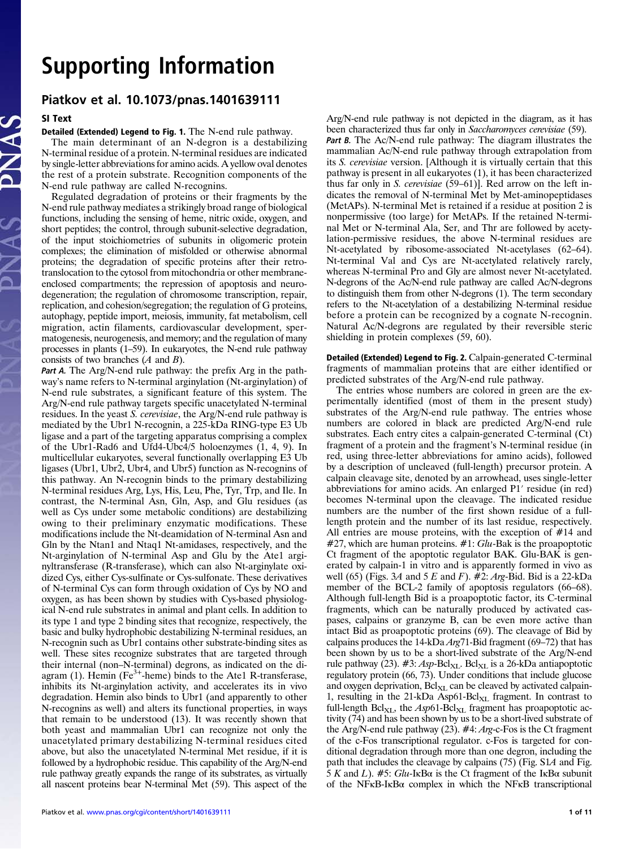# Supporting Information

# Piatkov et al. 10.1073/pnas.1401639111

#### SI Text

#### Detailed (Extended) Legend to Fig. 1. The N-end rule pathway.

The main determinant of an N-degron is a destabilizing N-terminal residue of a protein. N-terminal residues are indicated by single-letter abbreviations for amino acids. A yellow oval denotes the rest of a protein substrate. Recognition components of the N-end rule pathway are called N-recognins.

Regulated degradation of proteins or their fragments by the N-end rule pathway mediates a strikingly broad range of biological functions, including the sensing of heme, nitric oxide, oxygen, and short peptides; the control, through subunit-selective degradation, of the input stoichiometries of subunits in oligomeric protein complexes; the elimination of misfolded or otherwise abnormal proteins; the degradation of specific proteins after their retrotranslocation to the cytosol from mitochondria or other membraneenclosed compartments; the repression of apoptosis and neurodegeneration; the regulation of chromosome transcription, repair, replication, and cohesion/segregation; the regulation of G proteins, autophagy, peptide import, meiosis, immunity, fat metabolism, cell migration, actin filaments, cardiovascular development, spermatogenesis, neurogenesis, and memory; and the regulation of many processes in plants (1–59). In eukaryotes, the N-end rule pathway consists of two branches  $(A \text{ and } B)$ .

Part A. The Arg/N-end rule pathway: the prefix Arg in the pathway's name refers to N-terminal arginylation (Nt-arginylation) of N-end rule substrates, a significant feature of this system. The Arg/N-end rule pathway targets specific unacetylated N-terminal residues. In the yeast S. cerevisiae, the Arg/N-end rule pathway is mediated by the Ubr1 N-recognin, a 225-kDa RING-type E3 Ub ligase and a part of the targeting apparatus comprising a complex of the Ubr1-Rad6 and Ufd4-Ubc4/5 holoenzymes (1, 4, 9). In multicellular eukaryotes, several functionally overlapping E3 Ub ligases (Ubr1, Ubr2, Ubr4, and Ubr5) function as N-recognins of this pathway. An N-recognin binds to the primary destabilizing N-terminal residues Arg, Lys, His, Leu, Phe, Tyr, Trp, and Ile. In contrast, the N-terminal Asn, Gln, Asp, and Glu residues (as well as Cys under some metabolic conditions) are destabilizing owing to their preliminary enzymatic modifications. These modifications include the Nt-deamidation of N-terminal Asn and Gln by the Ntan1 and Ntaq1 Nt-amidases, respectively, and the Nt-arginylation of N-terminal Asp and Glu by the Ate1 arginyltransferase (R-transferase), which can also Nt-arginylate oxidized Cys, either Cys-sulfinate or Cys-sulfonate. These derivatives of N-terminal Cys can form through oxidation of Cys by NO and oxygen, as has been shown by studies with Cys-based physiological N-end rule substrates in animal and plant cells. In addition to its type 1 and type 2 binding sites that recognize, respectively, the basic and bulky hydrophobic destabilizing N-terminal residues, an N-recognin such as Ubr1 contains other substrate-binding sites as well. These sites recognize substrates that are targeted through their internal (non–N-terminal) degrons, as indicated on the diagram (1). Hemin ( $Fe<sup>3+</sup>$ -heme) binds to the Ate1 R-transferase, inhibits its Nt-arginylation activity, and accelerates its in vivo degradation. Hemin also binds to Ubr1 (and apparently to other N-recognins as well) and alters its functional properties, in ways that remain to be understood (13). It was recently shown that both yeast and mammalian Ubr1 can recognize not only the unacetylated primary destabilizing N-terminal residues cited above, but also the unacetylated N-terminal Met residue, if it is followed by a hydrophobic residue. This capability of the Arg/N-end rule pathway greatly expands the range of its substrates, as virtually all nascent proteins bear N-terminal Met (59). This aspect of the

Piatkov et al. <www.pnas.org/cgi/content/short/1401639111> 1 of 11 of 11 of 11 of 11 of 11 of 11 of 11 of 11 of 11 of 11 of 11 of 11 of 11 of 11 of 11 of 11 of 11 of 11 of 11 of 11 of 11 of 11 of 11 of 11 of 11 of 11 of 11 o

Arg/N-end rule pathway is not depicted in the diagram, as it has been characterized thus far only in Saccharomyces cerevisiae (59). Part B. The Ac/N-end rule pathway: The diagram illustrates the mammalian Ac/N-end rule pathway through extrapolation from its S. cerevisiae version. [Although it is virtually certain that this pathway is present in all eukaryotes (1), it has been characterized thus far only in S. cerevisiae (59–61)]. Red arrow on the left indicates the removal of N-terminal Met by Met-aminopeptidases (MetAPs). N-terminal Met is retained if a residue at position 2 is nonpermissive (too large) for MetAPs. If the retained N-terminal Met or N-terminal Ala, Ser, and Thr are followed by acetylation-permissive residues, the above N-terminal residues are Nt-acetylated by ribosome-associated Nt-acetylases (62–64). Nt-terminal Val and Cys are Nt-acetylated relatively rarely, whereas N-terminal Pro and Gly are almost never Nt-acetylated. N-degrons of the Ac/N-end rule pathway are called Ac/N-degrons to distinguish them from other N-degrons (1). The term secondary refers to the Nt-acetylation of a destabilizing N-terminal residue before a protein can be recognized by a cognate N-recognin. Natural Ac/N-degrons are regulated by their reversible steric shielding in protein complexes (59, 60).

Detailed (Extended) Legend to Fig. 2. Calpain-generated C-terminal fragments of mammalian proteins that are either identified or predicted substrates of the Arg/N-end rule pathway.

The entries whose numbers are colored in green are the experimentally identified (most of them in the present study) substrates of the Arg/N-end rule pathway. The entries whose numbers are colored in black are predicted Arg/N-end rule substrates. Each entry cites a calpain-generated C-terminal (Ct) fragment of a protein and the fragment's N-terminal residue (in red, using three-letter abbreviations for amino acids), followed by a description of uncleaved (full-length) precursor protein. A calpain cleavage site, denoted by an arrowhead, uses single-letter abbreviations for amino acids. An enlarged P1′ residue (in red) becomes N-terminal upon the cleavage. The indicated residue numbers are the number of the first shown residue of a fulllength protein and the number of its last residue, respectively. All entries are mouse proteins, with the exception of #14 and  $#27$ , which are human proteins.  $#1$ : Glu-Bak is the proapoptotic Ct fragment of the apoptotic regulator BAK. Glu-BAK is generated by calpain-1 in vitro and is apparently formed in vivo as well (65) (Figs. 3A and 5 E and F).  $\#2$ : Arg-Bid. Bid is a 22-kDa member of the BCL-2 family of apoptosis regulators (66–68). Although full-length Bid is a proapoptotic factor, its C-terminal fragments, which can be naturally produced by activated caspases, calpains or granzyme B, can be even more active than intact Bid as proapoptotic proteins (69). The cleavage of Bid by calpains produces the  $14$ -kDa *Arg*71-Bid fragment (69–72) that has been shown by us to be a short-lived substrate of the Arg/N-end rule pathway (23).  $#3$ : Asp-Bcl<sub>XL</sub>. Bcl<sub>XL</sub> is a 26-kDa antiapoptotic regulatory protein (66, 73). Under conditions that include glucose and oxygen deprivation,  $\text{Bcl}_{\text{XL}}$  can be cleaved by activated calpain-1, resulting in the 21-kDa Asp61-Bcl $_{\text{XL}}$  fragment. In contrast to full-length  $\text{Bcl}_{\text{XI}}$ , the  $\text{Asp61-Bcl}_{\text{XI}}$  fragment has proapoptotic activity (74) and has been shown by us to be a short-lived substrate of the Arg/N-end rule pathway (23). #4: Arg-c-Fos is the Ct fragment of the c-Fos transcriptional regulator. c-Fos is targeted for conditional degradation through more than one degron, including the path that includes the cleavage by calpains (75) (Fig. S1A and Fig. 5 K and L). #5: Glu-IKB $\alpha$  is the Ct fragment of the IKB $\alpha$  subunit of the NFκB-IκBα complex in which the NFκB transcriptional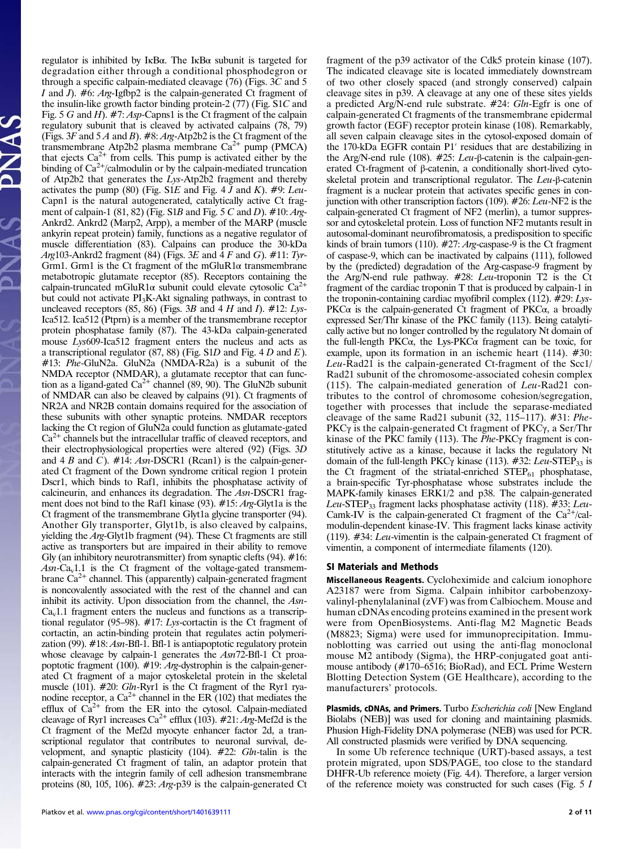regulator is inhibited by IκBα. The IκBα subunit is targeted for degradation either through a conditional phosphodegron or through a specific calpain-mediated cleavage (76) (Figs. 3C and 5 I and I).  $#6$ : Arg-Igfbp2 is the calpain-generated Ct fragment of the insulin-like growth factor binding protein-2 (77) (Fig. S1C and Fig. 5 G and H). #7: Asp-Capns1 is the Ct fragment of the calpain regulatory subunit that is cleaved by activated calpains (78, 79) (Figs.  $3F$  and  $5A$  and B). #8: Arg-Atp2b2 is the Ct fragment of the transmembrane Atp2b2 plasma membrane  $Ca^{2+}$  pump (PMCA) that ejects  $Ca^{2+}$  from cells. This pump is activated either by the binding of  $Ca^{2+}/c$ almodulin or by the calpain-mediated truncation of Atp2b2 that generates the Lys-Atp2b2 fragment and thereby activates the pump (80) (Fig. S1E and Fig. 4  $\bar{J}$  and K). #9: Leu-Capn1 is the natural autogenerated, catalytically active Ct fragment of calpain-1 (81, 82) (Fig. S1B and Fig. 5 C and D).  $\#10$ : Arg-Ankrd2. Ankrd2 (Marp2, Arpp), a member of the MARP (muscle ankyrin repeat protein) family, functions as a negative regulator of muscle differentiation (83). Calpains can produce the 30-kDa Arg103-Ankrd2 fragment (84) (Figs. 3E and  $\overline{4}$  F and G). #11: Tyr-Grm1. Grm1 is the Ct fragment of the mGluR1 $\alpha$  transmembrane metabotropic glutamate receptor (85). Receptors containing the calpain-truncated mGluR1 $\alpha$  subunit could elevate cytosolic Ca<sup>2+</sup> but could not activate PI3K-Akt signaling pathways, in contrast to uncleaved receptors (85, 86) (Figs. 3B and 4 H and I).  $\#12$ : Lys-Ica512. Ica512 (Ptprn) is a member of the transmembrane receptor protein phosphatase family (87). The 43-kDa calpain-generated mouse Lys609-Ica512 fragment enters the nucleus and acts as a transcriptional regulator  $(87, 88)$  (Fig. S1D and Fig. 4 D and E). #13: Phe-GluN2a. GluN2a (NMDA-R2a) is a subunit of the NMDA receptor (NMDAR), a glutamate receptor that can function as a ligand-gated  $Ca^{2+}$  channel (89, 90). The GluN2b subunit of NMDAR can also be cleaved by calpains (91). Ct fragments of NR2A and NR2B contain domains required for the association of these subunits with other synaptic proteins. NMDAR receptors lacking the Ct region of GluN2a could function as glutamate-gated  $Ca<sup>2+</sup>$  channels but the intracellular traffic of cleaved receptors, and their electrophysiological properties were altered (92) (Figs. 3D and 4 B and C).  $#14$ : Asn-DSCR1 (Rcan1) is the calpain-generated Ct fragment of the Down syndrome critical region 1 protein Dscr1, which binds to Raf1, inhibits the phosphatase activity of calcineurin, and enhances its degradation. The Asn-DSCR1 fragment does not bind to the Raf1 kinase (93). #15: Arg-Glyt1a is the Ct fragment of the transmembrane Glyt1a glycine transporter (94). Another Gly transporter, Glyt1b, is also cleaved by calpains, yielding the Arg-Glyt1b fragment (94). These Ct fragments are still active as transporters but are impaired in their ability to remove Gly (an inhibitory neurotransmitter) from synaptic clefts (94). #16:  $Asn-Ca<sub>v</sub>1.1$  is the Ct fragment of the voltage-gated transmembrane  $Ca<sup>2+</sup>$  channel. This (apparently) calpain-generated fragment is noncovalently associated with the rest of the channel and can inhibit its activity. Upon dissociation from the channel, the Asn- $Ca<sub>v</sub>1.1$  fragment enters the nucleus and functions as a transcriptional regulator (95–98). #17: Lys-cortactin is the Ct fragment of cortactin, an actin-binding protein that regulates actin polymerization (99). #18: Asn-Bfl-1. Bfl-1 is antiapoptotic regulatory protein whose cleavage by calpain-1 generates the Asn72-Bfl-1 Ct proapoptotic fragment (100). #19: Arg-dystrophin is the calpain-generated Ct fragment of a major cytoskeletal protein in the skeletal muscle (101). #20: Gln-Ryr1 is the Ct fragment of the Ryr1 ryanodine receptor, a  $Ca^{2+}$  channel in the ER (102) that mediates the efflux of  $Ca^{2+}$  from the ER into the cytosol. Calpain-mediated cleavage of Ryr1 increases  $Ca^{2+}$  efflux (103). #21: Arg-Mef2d is the Ct fragment of the Mef2d myocyte enhancer factor 2d, a transcriptional regulator that contributes to neuronal survival, development, and synaptic plasticity (104). #22: Gln-talin is the calpain-generated Ct fragment of talin, an adaptor protein that interacts with the integrin family of cell adhesion transmembrane proteins (80, 105, 106). #23: Arg-p39 is the calpain-generated Ct fragment of the p39 activator of the Cdk5 protein kinase (107). The indicated cleavage site is located immediately downstream of two other closely spaced (and strongly conserved) calpain cleavage sites in p39. A cleavage at any one of these sites yields a predicted Arg/N-end rule substrate. #24: Gln-Egfr is one of calpain-generated Ct fragments of the transmembrane epidermal growth factor (EGF) receptor protein kinase (108). Remarkably, all seven calpain cleavage sites in the cytosol-exposed domain of the 170-kDa EGFR contain P1′ residues that are destabilizing in the Arg/N-end rule (108). #25: Leu-β-catenin is the calpain-generated Ct-fragment of β-catenin, a conditionally short-lived cytoskeletal protein and transcriptional regulator. The Leu-β-catenin fragment is a nuclear protein that activates specific genes in conjunction with other transcription factors (109). #26: Leu-NF2 is the calpain-generated Ct fragment of NF2 (merlin), a tumor suppressor and cytoskeletal protein. Loss of function NF2 mutants result in autosomal-dominant neurofibromatosis, a predisposition to specific kinds of brain tumors (110). #27: Arg-caspase-9 is the Ct fragment of caspase-9, which can be inactivated by calpains (111), followed by the (predicted) degradation of the Arg-caspase-9 fragment by the Arg/N-end rule pathway. #28: Leu-troponin T2 is the Ct fragment of the cardiac troponin T that is produced by calpain-1 in the troponin-containing cardiac myofibril complex (112). #29: Lys-PKC $\alpha$  is the calpain-generated Ct fragment of PKC $\alpha$ , a broadly expressed Ser/Thr kinase of the PKC family (113). Being catalytically active but no longer controlled by the regulatory Nt domain of the full-length PKC $\alpha$ , the Lys-PKC $\alpha$  fragment can be toxic, for example, upon its formation in an ischemic heart (114). #30: Leu-Rad21 is the calpain-generated Ct-fragment of the Scc1/ Rad21 subunit of the chromosome-associated cohesin complex (115). The calpain-mediated generation of Leu-Rad21 contributes to the control of chromosome cohesion/segregation, together with processes that include the separase-mediated cleavage of the same Rad21 subunit (32, 115–117). #31: Phe-PKCγ is the calpain-generated Ct fragment of PKCγ, a Ser/Thr kinase of the PKC family (113). The Phe-PKCγ fragment is constitutively active as a kinase, because it lacks the regulatory Nt domain of the full-length PKC $\gamma$  kinase (113). #32: Leu-STEP<sub>33</sub> is the Ct fragment of the striatal-enriched  $STEP_{61}$  phosphatase, a brain-specific Tyr-phosphatase whose substrates include the MAPK-family kinases ERK1/2 and p38. The calpain-generated Leu-STEP<sub>33</sub> fragment lacks phosphatase activity (118).  $\#33$ : Leu-Camk-IV is the calpain-generated Ct fragment of the  $Ca^{2+}/cal$ modulin-dependent kinase-IV. This fragment lacks kinase activity (119). #34: Leu-vimentin is the calpain-generated Ct fragment of vimentin, a component of intermediate filaments (120).

#### SI Materials and Methods

Miscellaneous Reagents. Cycloheximide and calcium ionophore A23187 were from Sigma. Calpain inhibitor carbobenzoxyvalinyl-phenylalaninal (zVF) was from Calbiochem. Mouse and human cDNAs encoding proteins examined in the present work were from OpenBiosystems. Anti-flag M2 Magnetic Beads (M8823; Sigma) were used for immunoprecipitation. Immunoblotting was carried out using the anti-flag monoclonal mouse M2 antibody (Sigma), the HRP-conjugated goat antimouse antibody (#170–6516; BioRad), and ECL Prime Western Blotting Detection System (GE Healthcare), according to the manufacturers' protocols.

Plasmids, cDNAs, and Primers. Turbo Escherichia coli [New England Biolabs (NEB)] was used for cloning and maintaining plasmids. Phusion High-Fidelity DNA polymerase (NEB) was used for PCR. All constructed plasmids were verified by DNA sequencing.

In some Ub reference technique (URT)-based assays, a test protein migrated, upon SDS/PAGE, too close to the standard DHFR-Ub reference moiety (Fig. 4A). Therefore, a larger version of the reference moiety was constructed for such cases (Fig. 5 I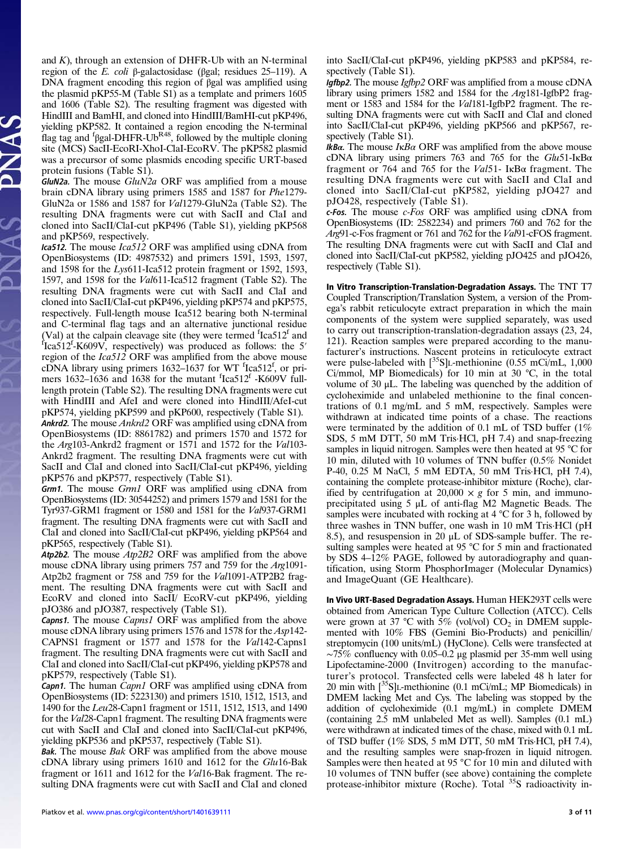and  $K$ ), through an extension of DHFR-Ub with an N-terminal region of the E. coli β-galactosidase (βgal; residues 25–119). A DNA fragment encoding this region of βgal was amplified using the plasmid pKP55-M (Table S1) as a template and primers 1605 and 1606 (Table S2). The resulting fragment was digested with HindIII and BamHI, and cloned into HindIII/BamHI-cut pKP496, yielding pKP582. It contained a region encoding the N-terminal flag tag and  $f$   $\beta$ gal-DHFR-Ub<sup>R48</sup>, followed by the multiple cloning site (MCS) SacII-EcoRI-XhoI-ClaI-EcoRV. The pKP582 plasmid was a precursor of some plasmids encoding specific URT-based protein fusions (Table S1).

GluN2a. The mouse GluN2a ORF was amplified from a mouse brain cDNA library using primers 1585 and 1587 for Phe1279- GluN2a or 1586 and 1587 for Val1279-GluN2a (Table S2). The resulting DNA fragments were cut with SacII and ClaI and cloned into SacII/ClaI-cut pKP496 (Table S1), yielding pKP568 and pKP569, respectively.

Ica512. The mouse Ica512 ORF was amplified using cDNA from OpenBiosystems (ID: 4987532) and primers 1591, 1593, 1597, and 1598 for the Lys611-Ica512 protein fragment or 1592, 1593, 1597, and 1598 for the Val611-Ica512 fragment (Table S2). The resulting DNA fragments were cut with SacII and ClaI and cloned into SacII/ClaI-cut pKP496, yielding pKP574 and pKP575, respectively. Full-length mouse Ica512 bearing both N-terminal and C-terminal flag tags and an alternative junctional residue (Val) at the calpain cleavage site (they were termed  ${}^{f}$ Ica512<sup>f</sup> and  ${}^{f}$ <sub>LCa512</sub><sup>f</sup>  $K609V$ , respectively) was produced as follows: the 5<sup>7</sup> Ica512f -K609V, respectively) was produced as follows: the 5′ region of the Ica512 ORF was amplified from the above mouse  $c\overline{DNA}$  library using primers 1632–1637 for WT  $f$ [ $ca512f$ , or primers 1632–1636 and 1638 for the mutant  ${}^{\text{f}}$ Ica512<sup>f</sup> -K609V fulllength protein (Table S2). The resulting DNA fragments were cut with HindIII and AfeI and were cloned into HindIII/AfeI-cut pKP574, yielding pKP599 and pKP600, respectively (Table S1). Ankrd2. The mouse Ankrd2 ORF was amplified using cDNA from OpenBiosystems (ID: 8861782) and primers 1570 and 1572 for the Arg103-Ankrd2 fragment or 1571 and 1572 for the Val103- Ankrd2 fragment. The resulting DNA fragments were cut with SacII and ClaI and cloned into SacII/ClaI-cut pKP496, yielding pKP576 and pKP577, respectively (Table S1).

Grm1. The mouse Grm1 ORF was amplified using cDNA from OpenBiosystems (ID: 30544252) and primers 1579 and 1581 for the Tyr937-GRM1 fragment or 1580 and 1581 for the Val937-GRM1 fragment. The resulting DNA fragments were cut with SacII and ClaI and cloned into SacII/ClaI-cut pKP496, yielding pKP564 and pKP565, respectively (Table S1).

Atp2b2. The mouse Atp2B2 ORF was amplified from the above mouse cDNA library using primers 757 and 759 for the Arg1091- Atp2b2 fragment or 758 and 759 for the Val1091-ATP2B2 fragment. The resulting DNA fragments were cut with SacII and EcoRV and cloned into SacII/ EcoRV-cut pKP496, yielding pJO386 and pJO387, respectively (Table S1).

Capns1. The mouse Capns1 ORF was amplified from the above mouse cDNA library using primers 1576 and 1578 for the Asp142- CAPNS1 fragment or 1577 and 1578 for the Val142-Capns1 fragment. The resulting DNA fragments were cut with SacII and ClaI and cloned into SacII/ClaI-cut pKP496, yielding pKP578 and pKP579, respectively (Table S1).

Capn1. The human Capn1 ORF was amplified using cDNA from OpenBiosystems (ID: 5223130) and primers 1510, 1512, 1513, and 1490 for the Leu28-Capn1 fragment or 1511, 1512, 1513, and 1490 for the Val28-Capn1 fragment. The resulting DNA fragments were cut with SacII and ClaI and cloned into SacII/ClaI-cut pKP496, yielding pKP536 and pKP537, respectively (Table S1).

Bak. The mouse Bak ORF was amplified from the above mouse cDNA library using primers 1610 and 1612 for the Glu16-Bak fragment or 1611 and 1612 for the Val16-Bak fragment. The resulting DNA fragments were cut with SacII and ClaI and cloned into SacII/ClaI-cut pKP496, yielding pKP583 and pKP584, respectively (Table S1).

Igfbp2. The mouse Igfbp2 ORF was amplified from a mouse cDNA library using primers 1582 and 1584 for the Arg181-IgfbP2 fragment or 1583 and 1584 for the Val181-IgfbP2 fragment. The resulting DNA fragments were cut with SacII and ClaI and cloned into SacII/ClaI-cut pKP496, yielding pKP566 and pKP567, respectively (Table S1).

IkBα. The mouse IκBα ORF was amplified from the above mouse cDNA library using primers 763 and 765 for the  $Glu51$ -IkB $\alpha$ fragment or 764 and 765 for the Val51- IκBα fragment. The resulting DNA fragments were cut with SacII and ClaI and cloned into SacII/ClaI-cut pKP582, yielding pJO427 and pJO428, respectively (Table S1).

c-Fos. The mouse c-Fos ORF was amplified using cDNA from OpenBiosystems (ID: 2582234) and primers 760 and 762 for the Arg91-c-Fos fragment or 761 and 762 for the Val91-cFOS fragment. The resulting DNA fragments were cut with SacII and ClaI and cloned into SacII/ClaI-cut pKP582, yielding pJO425 and pJO426, respectively (Table S1).

In Vitro Transcription-Translation-Degradation Assays. The TNT T7 Coupled Transcription/Translation System, a version of the Promega's rabbit reticulocyte extract preparation in which the main components of the system were supplied separately, was used to carry out transcription-translation-degradation assays (23, 24, 121). Reaction samples were prepared according to the manufacturer's instructions. Nascent proteins in reticulocyte extract were pulse-labeled with  $[^{35}S]$ L-methionine (0.55 mCi/mL, 1,000 Ci/mmol, MP Biomedicals) for 10 min at 30 °C, in the total volume of 30 μL. The labeling was quenched by the addition of cycloheximide and unlabeled methionine to the final concentrations of 0.1 mg/mL and 5 mM, respectively. Samples were withdrawn at indicated time points of a chase. The reactions were terminated by the addition of 0.1 mL of TSD buffer  $(1\%$ SDS, 5 mM DTT, 50 mM Tris·HCl, pH 7.4) and snap-freezing samples in liquid nitrogen. Samples were then heated at 95 °C for 10 min, diluted with 10 volumes of TNN buffer (0.5% Nonidet P-40, 0.25 M NaCl, 5 mM EDTA, 50 mM Tris·HCl, pH 7.4), containing the complete protease-inhibitor mixture (Roche), clarified by centrifugation at  $20,000 \times g$  for 5 min, and immunoprecipitated using 5 μL of anti-flag M2 Magnetic Beads. The samples were incubated with rocking at 4 °C for 3 h, followed by three washes in TNN buffer, one wash in 10 mM Tris·HCl (pH 8.5), and resuspension in 20 μL of SDS-sample buffer. The resulting samples were heated at 95 °C for 5 min and fractionated by SDS 4–12% PAGE, followed by autoradiography and quantification, using Storm PhosphorImager (Molecular Dynamics) and ImageQuant (GE Healthcare).

In Vivo URT-Based Degradation Assays. Human HEK293T cells were obtained from American Type Culture Collection (ATCC). Cells were grown at 37 °C with 5% (vol/vol)  $CO_2$  in DMEM supplemented with 10% FBS (Gemini Bio-Products) and penicillin/ streptomycin (100 units/mL) (HyClone). Cells were transfected at  $~\sim$ 75% confluency with 0.05–0.2 μg plasmid per 35-mm well using Lipofectamine-2000 (Invitrogen) according to the manufacturer's protocol. Transfected cells were labeled 48 h later for 20 min with  $\lceil$ <sup>35</sup>S|L-methionine (0.1 mCi/mL; MP Biomedicals) in DMEM lacking Met and Cys. The labeling was stopped by the addition of cycloheximide (0.1 mg/mL) in complete DMEM (containing 2.5 mM unlabeled Met as well). Samples (0.1 mL) were withdrawn at indicated times of the chase, mixed with 0.1 mL of TSD buffer (1% SDS, 5 mM DTT, 50 mM Tris·HCl, pH 7.4), and the resulting samples were snap-frozen in liquid nitrogen. Samples were then heated at 95 °C for 10 min and diluted with 10 volumes of TNN buffer (see above) containing the complete protease-inhibitor mixture (Roche). Total <sup>35</sup>S radioactivity in-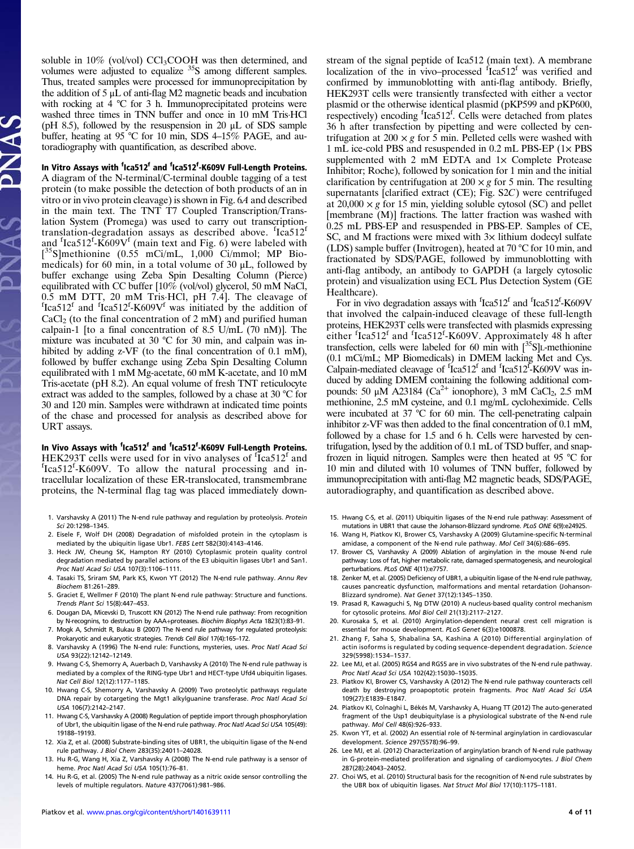soluble in  $10\%$  (vol/vol) CCl<sub>3</sub>COOH was then determined, and volumes were adjusted to equalize <sup>35</sup>S among different samples. Thus, treated samples were processed for immunoprecipitation by the addition of  $5 \mu L$  of anti-flag M2 magnetic beads and incubation with rocking at 4 °C for 3 h. Immunoprecipitated proteins were washed three times in TNN buffer and once in 10 mM Tris·HCl (pH 8.5), followed by the resuspension in 20  $\mu$ L of SDS sample buffer, heating at 95 °C for 10 min, SDS 4–15% PAGE, and autoradiography with quantification, as described above.

In Vitro Assays with <sup>f</sup>Ica512<sup>f</sup> and <sup>f</sup>Ica512<sup>f</sup>-K609V Full-Length Proteins.

A diagram of the N-terminal/C-terminal double tagging of a test protein (to make possible the detection of both products of an in vitro or in vivo protein cleavage) is shown in Fig. 6A and described in the main text. The TNT T7 Coupled Transcription/Translation System (Promega) was used to carry out transcriptiontranslation-degradation assays as described above. fIca512f and  ${}^{\text{f}}$ Ica512<sup>f</sup>-K609V<sup>f</sup> (main text and Fig. 6) were labeled with  $[35S]$ methionine  $(0.55 \text{ mCi/mL}, 1,000 \text{ Ci/mm}$ . MP Biomedicals) for 60 min, in a total volume of 30 μL, followed by buffer exchange using Zeba Spin Desalting Column (Pierce) equilibrated with CC buffer [10% (vol/vol) glycerol, 50 mM NaCl, 0.5 mM DTT, 20 mM Tris·HCl, pH 7.4]. The cleavage of <sup>f</sup> Ica512<sup>f</sup> and  $f$ Ica512<sup>f</sup>-K609V<sup>f</sup> was initiated by the addition of  $CaCl<sub>2</sub>$  (to the final concentration of 2 mM) and purified human calpain-1 [to a final concentration of 8.5 U/mL  $(70 \text{ nM})$ ]. The mixture was incubated at 30 °C for 30 min, and calpain was inhibited by adding z-VF (to the final concentration of 0.1 mM), followed by buffer exchange using Zeba Spin Desalting Column equilibrated with 1 mM Mg-acetate, 60 mM K-acetate, and 10 mM Tris-acetate (pH 8.2). An equal volume of fresh TNT reticulocyte extract was added to the samples, followed by a chase at 30 °C for 30 and 120 min. Samples were withdrawn at indicated time points of the chase and processed for analysis as described above for URT assays.

In Vivo Assays with <sup>f</sup>Ica512<sup>f</sup> and <sup>f</sup>Ica512<sup>f</sup>-K609V Full-Length Proteins. HEK293T cells were used for in vivo analyses of  ${}^{f}$ Ca512<sup>f</sup> and  ${}^{f}$ Ca512<sup>f</sup> K609V. To allow the natural processing and in-Ica512<sup>f</sup>-K609V. To allow the natural processing and intracellular localization of these ER-translocated, transmembrane proteins, the N-terminal flag tag was placed immediately down-

- 1. Varshavsky A (2011) The N-end rule pathway and regulation by proteolysis. Protein Sci 20:1298–1345.
- 2. Eisele F, Wolf DH (2008) Degradation of misfolded protein in the cytoplasm is mediated by the ubiquitin ligase Ubr1. FEBS Lett 582(30):4143–4146.
- 3. Heck JW, Cheung SK, Hampton RY (2010) Cytoplasmic protein quality control degradation mediated by parallel actions of the E3 ubiquitin ligases Ubr1 and San1. Proc Natl Acad Sci USA 107(3):1106–1111.
- 4. Tasaki TS, Sriram SM, Park KS, Kwon YT (2012) The N-end rule pathway. Annu Rev Biochem 81:261–289.
- 5. Graciet E, Wellmer F (2010) The plant N-end rule pathway: Structure and functions. Trends Plant Sci 15(8):447–453.
- 6. Dougan DA, Micevski D, Truscott KN (2012) The N-end rule pathway: From recognition by N-recognins, to destruction by AAA+proteases. Biochim Biophys Acta 1823(1):83–91.
- 7. Mogk A, Schmidt R, Bukau B (2007) The N-end rule pathway for regulated proteolysis: Prokaryotic and eukaryotic strategies. Trends Cell Biol 17(4):165–172.
- 8. Varshavsky A (1996) The N-end rule: Functions, mysteries, uses. Proc Natl Acad Sci USA 93(22):12142–12149.
- 9. Hwang C-S, Shemorry A, Auerbach D, Varshavsky A (2010) The N-end rule pathway is mediated by a complex of the RING-type Ubr1 and HECT-type Ufd4 ubiquitin ligases. Nat Cell Biol 12(12):1177–1185.
- 10. Hwang C-S, Shemorry A, Varshavsky A (2009) Two proteolytic pathways regulate DNA repair by cotargeting the Mgt1 alkylguanine transferase. Proc Natl Acad Sci USA 106(7):2142–2147.
- 11. Hwang C-S, Varshavsky A (2008) Regulation of peptide import through phosphorylation of Ubr1, the ubiquitin ligase of the N-end rule pathway. Proc Natl Acad Sci USA 105(49): 19188–19193.
- 12. Xia Z, et al. (2008) Substrate-binding sites of UBR1, the ubiquitin ligase of the N-end rule pathway. J Biol Chem 283(35):24011–24028.
- 13. Hu R-G, Wang H, Xia Z, Varshavsky A (2008) The N-end rule pathway is a sensor of heme. Proc Natl Acad Sci USA 105(1):76-81.
- 14. Hu R-G, et al. (2005) The N-end rule pathway as a nitric oxide sensor controlling the levels of multiple regulators. Nature 437(7061):981–986.

stream of the signal peptide of Ica512 (main text). A membrane localization of the in vivo–processed  $f$ Ica512<sup>f</sup> was verified and confirmed by immunoblotting with anti-flag antibody. Briefly, HEK293T cells were transiently transfected with either a vector plasmid or the otherwise identical plasmid (pKP599 and pKP600, respectively) encoding <sup>f</sup>Ica512<sup>f</sup>. Cells were detached from plates 36 h after transfection by pipetting and were collected by centrifugation at  $200 \times g$  for 5 min. Pelleted cells were washed with 1 mL ice-cold PBS and resuspended in 0.2 mL PBS-EP (1× PBS supplemented with  $2 \text{ mM}$  EDTA and  $1 \times$  Complete Protease Inhibitor; Roche), followed by sonication for 1 min and the initial clarification by centrifugation at  $200 \times g$  for 5 min. The resulting supernatants [clarified extract (CE); Fig. S2C) were centrifuged at  $20,000 \times g$  for 15 min, yielding soluble cytosol (SC) and pellet [membrane (M)] fractions. The latter fraction was washed with 0.25 mL PBS-EP and resuspended in PBS-EP. Samples of CE, SC, and M fractions were mixed with  $3x$  lithium dodecyl sulfate (LDS) sample buffer (Invitrogen), heated at 70 °C for 10 min, and fractionated by SDS/PAGE, followed by immunoblotting with anti-flag antibody, an antibody to GAPDH (a largely cytosolic protein) and visualization using ECL Plus Detection System (GE Healthcare).

For in vivo degradation assays with <sup>f</sup>Ica512<sup>f</sup> and <sup>f</sup>Ica512<sup>f</sup>-K609V that involved the calpain-induced cleavage of these full-length proteins, HEK293T cells were transfected with plasmids expressing either  ${}^f$ Ica512<sup>f</sup> and  ${}^f$ Ica512<sup>f</sup>-K609V. Approximately 48 h after transfection, cells were labeled for 60 min with  $\binom{35}{5}$ L-methionine (0.1 mCi/mL; MP Biomedicals) in DMEM lacking Met and Cys. Calpain-mediated cleavage of  $f$ Ica512<sup>f</sup> and  $f$ Ica512<sup>F</sup>-K609V was induced by adding DMEM containing the following additional compounds: 50 μM A23184 (Ca<sup>2+</sup> ionophore), 3 mM CaCl<sub>2</sub>, 2.5 mM methionine, 2.5 mM cysteine, and 0.1 mg/mL cycloheximide. Cells were incubated at 37 °C for 60 min. The cell-penetrating calpain inhibitor z-VF was then added to the final concentration of 0.1 mM, followed by a chase for 1.5 and 6 h. Cells were harvested by centrifugation, lysed by the addition of 0.1 mL of TSD buffer, and snapfrozen in liquid nitrogen. Samples were then heated at 95 °C for 10 min and diluted with 10 volumes of TNN buffer, followed by immunoprecipitation with anti-flag M2 magnetic beads, SDS/PAGE, autoradiography, and quantification as described above.

- 15. Hwang C-S, et al. (2011) Ubiquitin ligases of the N-end rule pathway: Assessment of mutations in UBR1 that cause the Johanson-Blizzard syndrome. PLoS ONE 6(9):e24925.
- 16. Wang H, Piatkov KI, Brower CS, Varshavsky A (2009) Glutamine-specific N-terminal amidase, a component of the N-end rule pathway. Mol Cell 34(6):686–695.
- 17. Brower CS, Varshavsky A (2009) Ablation of arginylation in the mouse N-end rule pathway: Loss of fat, higher metabolic rate, damaged spermatogenesis, and neurological perturbations. PLoS ONE 4(11):e7757.
- 18. Zenker M, et al. (2005) Deficiency of UBR1, a ubiquitin ligase of the N-end rule pathway, causes pancreatic dysfunction, malformations and mental retardation (Johanson-Blizzard syndrome). Nat Genet 37(12):1345–1350.
- 19. Prasad R, Kawaguchi S, Ng DTW (2010) A nucleus-based quality control mechanism for cytosolic proteins. Mol Biol Cell 21(13):2117–2127.
- 20. Kurosaka S, et al. (2010) Arginylation-dependent neural crest cell migration is essential for mouse development. PLoS Genet 6(3):e1000878.
- 21. Zhang F, Saha S, Shabalina SA, Kashina A (2010) Differential arginylation of actin isoforms is regulated by coding sequence-dependent degradation. Science 329(5998):1534–1537.
- 22. Lee MJ, et al. (2005) RGS4 and RGS5 are in vivo substrates of the N-end rule pathway. Proc Natl Acad Sci USA 102(42):15030–15035.
- 23. Piatkov KI, Brower CS, Varshavsky A (2012) The N-end rule pathway counteracts cell death by destroying proapoptotic protein fragments. Proc Natl Acad Sci USA 109(27):E1839–E1847.
- 24. Piatkov KI, Colnaghi L, Békés M, Varshavsky A, Huang TT (2012) The auto-generated fragment of the Usp1 deubiquitylase is a physiological substrate of the N-end rule pathway. Mol Cell 48(6):926–933.
- 25. Kwon YT, et al. (2002) An essential role of N-terminal arginylation in cardiovascular development. Science 297(5578):96–99.
- 26. Lee MJ, et al. (2012) Characterization of arginylation branch of N-end rule pathway in G-protein-mediated proliferation and signaling of cardiomyocytes. J Biol Chem 287(28):24043–24052.
- 27. Choi WS, et al. (2010) Structural basis for the recognition of N-end rule substrates by the UBR box of ubiquitin ligases. Nat Struct Mol Biol 17(10):1175–1181.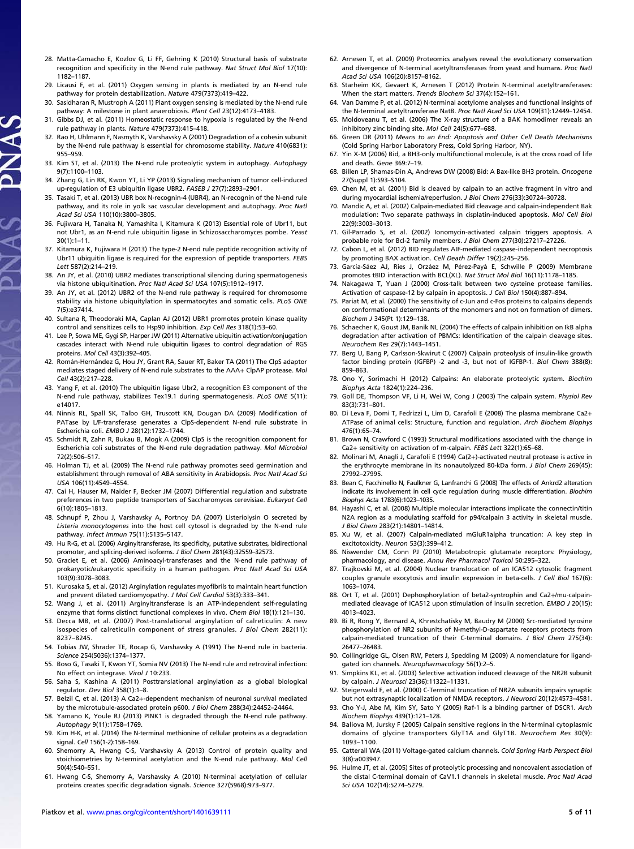- 28. Matta-Camacho E, Kozlov G, Li FF, Gehring K (2010) Structural basis of substrate recognition and specificity in the N-end rule pathway. Nat Struct Mol Biol 17(10): 1182–1187.
- 29. Licausi F, et al. (2011) Oxygen sensing in plants is mediated by an N-end rule pathway for protein destabilization. Nature 479(7373):419–422.
- 30. Sasidharan R, Mustroph A (2011) Plant oxygen sensing is mediated by the N-end rule pathway: A milestone in plant anaerobiosis. Plant Cell 23(12):4173-4183.
- 31. Gibbs DJ, et al. (2011) Homeostatic response to hypoxia is regulated by the N-end rule pathway in plants. Nature 479(7373):415–418.
- 32. Rao H, Uhlmann F, Nasmyth K, Varshavsky A (2001) Degradation of a cohesin subunit by the N-end rule pathway is essential for chromosome stability. Nature 410(6831): 955–959.
- 33. Kim ST, et al. (2013) The N-end rule proteolytic system in autophagy. Autophagy 9(7):1100–1103.
- 34. Zhang G, Lin RK, Kwon YT, Li YP (2013) Signaling mechanism of tumor cell-induced up-regulation of E3 ubiquitin ligase UBR2. FASEB J 27(7):2893–2901.
- 35. Tasaki T, et al. (2013) UBR box N-recognin-4 (UBR4), an N-recognin of the N-end rule pathway, and its role in yolk sac vascular development and autophagy. Proc Natl Acad Sci USA 110(10):3800–3805.
- 36. Fujiwara H, Tanaka N, Yamashita I, Kitamura K (2013) Essential role of Ubr11, but not Ubr1, as an N-end rule ubiquitin ligase in Schizosaccharomyces pombe. Yeast 30(1):1–11.
- 37. Kitamura K, Fujiwara H (2013) The type-2 N-end rule peptide recognition activity of Ubr11 ubiquitin ligase is required for the expression of peptide transporters. FEBS Lett 587(2):214–219.
- 38. An JY, et al. (2010) UBR2 mediates transcriptional silencing during spermatogenesis via histone ubiquitination. Proc Natl Acad Sci USA 107(5):1912–1917.
- 39. An JY, et al. (2012) UBR2 of the N-end rule pathway is required for chromosome stability via histone ubiquitylation in spermatocytes and somatic cells. PLoS ONE 7(5):e37414.
- 40. Sultana R, Theodoraki MA, Caplan AJ (2012) UBR1 promotes protein kinase quality control and sensitizes cells to Hsp90 inhibition. Exp Cell Res 318(1):53–60.
- 41. Lee P, Sowa ME, Gygi SP, Harper JW (2011) Alternative ubiquitin activation/conjugation cascades interact with N-end rule ubiquitin ligases to control degradation of RGS proteins. Mol Cell 43(3):392–405.
- 42. Román-Hernández G, Hou JY, Grant RA, Sauer RT, Baker TA (2011) The ClpS adaptor mediates staged delivery of N-end rule substrates to the AAA+ ClpAP protease. Mol Cell 43(2):217–228.
- 43. Yang F, et al. (2010) The ubiquitin ligase Ubr2, a recognition E3 component of the N-end rule pathway, stabilizes Tex19.1 during spermatogenesis. PLoS ONE 5(11): e14017.
- 44. Ninnis RL, Spall SK, Talbo GH, Truscott KN, Dougan DA (2009) Modification of PATase by L/F-transferase generates a ClpS-dependent N-end rule substrate in Escherichia coli. EMBO J 28(12):1732–1744.
- 45. Schmidt R, Zahn R, Bukau B, Mogk A (2009) ClpS is the recognition component for Escherichia coli substrates of the N-end rule degradation pathway. Mol Microbiol 72(2):506–517.
- 46. Holman TJ, et al. (2009) The N-end rule pathway promotes seed germination and establishment through removal of ABA sensitivity in Arabidopsis. Proc Natl Acad Sci USA 106(11):4549–4554.
- 47. Cai H, Hauser M, Naider F, Becker JM (2007) Differential regulation and substrate preferences in two peptide transporters of Saccharomyces cerevisiae. Eukaryot Cell 6(10):1805–1813.
- 48. Schnupf P, Zhou J, Varshavsky A, Portnoy DA (2007) Listeriolysin O secreted by Listeria monocytogenes into the host cell cytosol is degraded by the N-end rule pathway. Infect Immun 75(11):5135–5147.
- 49. Hu R-G, et al. (2006) Arginyltransferase, its specificity, putative substrates, bidirectional promoter, and splicing-derived isoforms. J Biol Chem 281(43):32559–32573.
- 50. Graciet E, et al. (2006) Aminoacyl-transferases and the N-end rule pathway of prokaryotic/eukaryotic specificity in a human pathogen. Proc Natl Acad Sci USA 103(9):3078–3083.
- 51. Kurosaka S, et al. (2012) Arginylation regulates myofibrils to maintain heart function and prevent dilated cardiomyopathy. J Mol Cell Cardiol 53(3):333–341.
- 52. Wang J, et al. (2011) Arginyltransferase is an ATP-independent self-regulating enzyme that forms distinct functional complexes in vivo. Chem Biol 18(1):121–130.
- 53. Decca MB, et al. (2007) Post-translational arginylation of calreticulin: A new isospecies of calreticulin component of stress granules. J Biol Chem 282(11): 8237–8245.
- 54. Tobias JW, Shrader TE, Rocap G, Varshavsky A (1991) The N-end rule in bacteria. Science 254(5036):1374–1377.
- 55. Boso G, Tasaki T, Kwon YT, Somia NV (2013) The N-end rule and retroviral infection: No effect on integrase. Virol J 10:233.
- 56. Saha S, Kashina A (2011) Posttranslational arginylation as a global biological regulator. Dev Biol 358(1):1–8.
- 57. Belzil C, et al. (2013) A Ca2+-dependent mechanism of neuronal survival mediated by the microtubule-associated protein p600. J Biol Chem 288(34):24452–24464.
- 58. Yamano K, Youle RJ (2013) PINK1 is degraded through the N-end rule pathway. Autophagy 9(11):1758–1769.
- 59. Kim H-K, et al. (2014) The N-terminal methionine of cellular proteins as a degradation signal. Cell 156(1-2):158–169.
- 60. Shemorry A, Hwang C-S, Varshavsky A (2013) Control of protein quality and stoichiometries by N-terminal acetylation and the N-end rule pathway. Mol Cell 50(4):540–551.
- 61. Hwang C-S, Shemorry A, Varshavsky A (2010) N-terminal acetylation of cellular proteins creates specific degradation signals. Science 327(5968):973–977.
- 62. Arnesen T, et al. (2009) Proteomics analyses reveal the evolutionary conservation and divergence of N-terminal acetyltransferases from yeast and humans. Proc Natl Acad Sci USA 106(20):8157–8162.
- 63. Starheim KK, Gevaert K, Arnesen T (2012) Protein N-terminal acetyltransferases: When the start matters. Trends Biochem Sci 37(4):152–161.
- 64. Van Damme P, et al. (2012) N-terminal acetylome analyses and functional insights of the N-terminal acetyltransferase NatB. Proc Natl Acad Sci USA 109(31):12449–12454.
- 65. Moldoveanu T, et al. (2006) The X-ray structure of a BAK homodimer reveals an inhibitory zinc binding site. Mol Cell 24(5):677–688.
- 66. Green DR (2011) Means to an End: Apoptosis and Other Cell Death Mechanisms (Cold Spring Harbor Laboratory Press, Cold Spring Harbor, NY).
- 67. Yin X-M (2006) Bid, a BH3-only multifunctional molecule, is at the cross road of life and death. Gene 369:7–19.
- 68. Billen LP, Shamas-Din A, Andrews DW (2008) Bid: A Bax-like BH3 protein. Oncogene 27(Suppl 1):S93–S104.
- 69. Chen M, et al. (2001) Bid is cleaved by calpain to an active fragment in vitro and during myocardial ischemia/reperfusion. J Biol Chem 276(33):30724–30728.
- 70. Mandic A, et al. (2002) Calpain-mediated Bid cleavage and calpain-independent Bak modulation: Two separate pathways in cisplatin-induced apoptosis. Mol Cell Biol 22(9):3003–3013.
- 71. Gil-Parrado S, et al. (2002) Ionomycin-activated calpain triggers apoptosis. A probable role for Bcl-2 family members. J Biol Chem 277(30):27217–27226.
- 72. Cabon L, et al. (2012) BID regulates AIF-mediated caspase-independent necroptosis by promoting BAX activation. Cell Death Differ 19(2):245–256.
- 73. García-Sáez AJ, Ries J, Orzáez M, Pérez-Payà E, Schwille P (2009) Membrane promotes tBID interaction with BCL(XL). Nat Struct Mol Biol 16(11):1178–1185.
- 74. Nakagawa T, Yuan J (2000) Cross-talk between two cysteine protease families. Activation of caspase-12 by calpain in apoptosis. J Cell Biol 150(4):887–894.
- 75. Pariat M, et al. (2000) The sensitivity of c-Jun and c-Fos proteins to calpains depends on conformational determinants of the monomers and not on formation of dimers. Biochem J 345(Pt 1):129–138.
- 76. Schaecher K, Goust JM, Banik NL (2004) The effects of calpain inhibition on IkB alpha degradation after activation of PBMCs: Identification of the calpain cleavage sites. Neurochem Res 29(7):1443–1451.
- 77. Berg U, Bang P, Carlsson-Skwirut C (2007) Calpain proteolysis of insulin-like growth factor binding protein (IGFBP) -2 and -3, but not of IGFBP-1. Biol Chem 388(8): 859–863.
- 78. Ono Y, Sorimachi H (2012) Calpains: An elaborate proteolytic system. Biochim Biophys Acta 1824(1):224–236.
- 79. Goll DE, Thompson VF, Li H, Wei W, Cong J (2003) The calpain system. Physiol Rev 83(3):731–801.
- 80. Di Leva F, Domi T, Fedrizzi L, Lim D, Carafoli E (2008) The plasma membrane Ca2+ ATPase of animal cells: Structure, function and regulation. Arch Biochem Biophys 476(1):65–74.
- 81. Brown N, Crawford C (1993) Structural modifications associated with the change in Ca2+ sensitivity on activation of m-calpain. FEBS Lett 322(1):65–68.
- 82. Molinari M, Anagli J, Carafoli E (1994) Ca(2+)-activated neutral protease is active in the erythrocyte membrane in its nonautolyzed 80-kDa form. J Biol Chem 269(45): 27992–27995.
- 83. Bean C, Facchinello N, Faulkner G, Lanfranchi G (2008) The effects of Ankrd2 alteration indicate its involvement in cell cycle regulation during muscle differentiation. Biochim Biophys Acta 1783(6):1023–1035.
- 84. Hayashi C, et al. (2008) Multiple molecular interactions implicate the connectin/titin N2A region as a modulating scaffold for p94/calpain 3 activity in skeletal muscle. J Biol Chem 283(21):14801–14814.
- 85. Xu W, et al. (2007) Calpain-mediated mGluR1alpha truncation: A key step in excitotoxicity. Neuron 53(3):399–412.
- 86. Niswender CM, Conn PJ (2010) Metabotropic glutamate receptors: Physiology, pharmacology, and disease. Annu Rev Pharmacol Toxicol 50:295–322.
- 87. Trajkovski M, et al. (2004) Nuclear translocation of an ICA512 cytosolic fragment couples granule exocytosis and insulin expression in beta-cells. J Cell Biol 167(6): 1063–1074.
- 88. Ort T, et al. (2001) Dephosphorylation of beta2-syntrophin and Ca2+/mu-calpainmediated cleavage of ICA512 upon stimulation of insulin secretion. EMBO J 20(15): 4013–4023.
- 89. Bi R, Rong Y, Bernard A, Khrestchatisky M, Baudry M (2000) Src-mediated tyrosine phosphorylation of NR2 subunits of N-methyl-D-aspartate receptors protects from calpain-mediated truncation of their C-terminal domains. J Biol Chem 275(34): 26477–26483.
- 90. Collingridge GL, Olsen RW, Peters J, Spedding M (2009) A nomenclature for ligandgated ion channels. Neuropharmacology 56(1):2–5.
- 91. Simpkins KL, et al. (2003) Selective activation induced cleavage of the NR2B subunit by calpain. J Neurosci 23(36):11322–11331.
- 92. Steigerwald F, et al. (2000) C-Terminal truncation of NR2A subunits impairs synaptic but not extrasynaptic localization of NMDA receptors. J Neurosci 20(12):4573–4581.
- 93. Cho Y-J, Abe M, Kim SY, Sato Y (2005) Raf-1 is a binding partner of DSCR1. Arch Biochem Biophys 439(1):121–128.
- 94. Baliova M, Jursky F (2005) Calpain sensitive regions in the N-terminal cytoplasmic domains of glycine transporters GlyT1A and GlyT1B. Neurochem Res 30(9): 1093–1100.
- 95. Catterall WA (2011) Voltage-gated calcium channels. Cold Spring Harb Perspect Biol 3(8):a003947.
- 96. Hulme JT, et al. (2005) Sites of proteolytic processing and noncovalent association of the distal C-terminal domain of CaV1.1 channels in skeletal muscle. Proc Natl Acad Sci USA 102(14):5274–5279.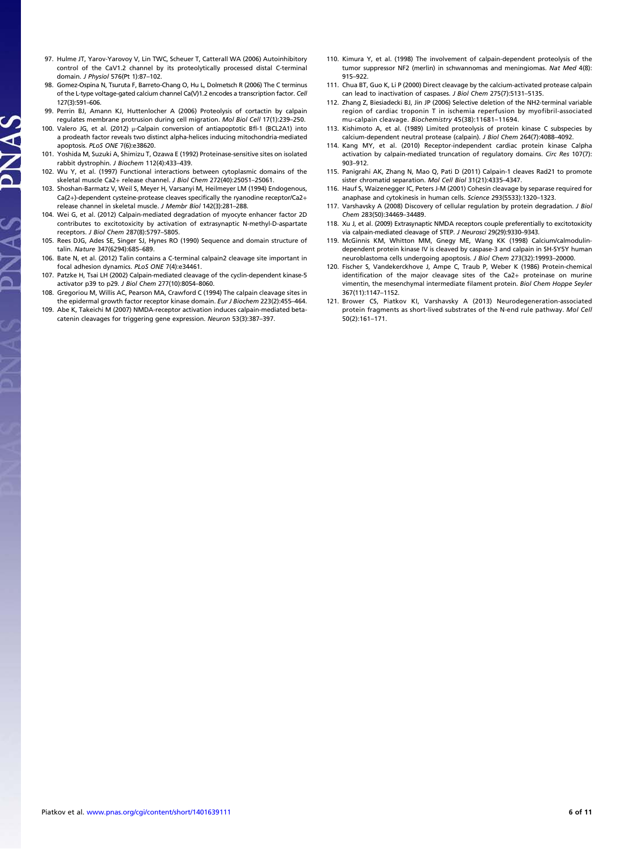- 97. Hulme JT, Yarov-Yarovoy V, Lin TWC, Scheuer T, Catterall WA (2006) Autoinhibitory control of the CaV1.2 channel by its proteolytically processed distal C-terminal domain. J Physiol 576(Pt 1):87–102.
- 98. Gomez-Ospina N, Tsuruta F, Barreto-Chang O, Hu L, Dolmetsch R (2006) The C terminus of the L-type voltage-gated calcium channel Ca(V)1.2 encodes a transcription factor. Cell 127(3):591–606.
- 99. Perrin BJ, Amann KJ, Huttenlocher A (2006) Proteolysis of cortactin by calpain regulates membrane protrusion during cell migration. Mol Biol Cell 17(1):239–250.
- 100. Valero JG, et al. (2012) μ-Calpain conversion of antiapoptotic Bfl-1 (BCL2A1) into a prodeath factor reveals two distinct alpha-helices inducing mitochondria-mediated apoptosis. PLoS ONE 7(6):e38620.
- 101. Yoshida M, Suzuki A, Shimizu T, Ozawa E (1992) Proteinase-sensitive sites on isolated rabbit dystrophin. J Biochem 112(4):433–439.
- 102. Wu Y, et al. (1997) Functional interactions between cytoplasmic domains of the skeletal muscle Ca2+ release channel. J Biol Chem 272(40):25051–25061.
- 103. Shoshan-Barmatz V, Weil S, Meyer H, Varsanyi M, Heilmeyer LM (1994) Endogenous, Ca(2+)-dependent cysteine-protease cleaves specifically the ryanodine receptor/Ca2+ release channel in skeletal muscle. J Membr Biol 142(3):281–288.
- 104. Wei G, et al. (2012) Calpain-mediated degradation of myocyte enhancer factor 2D contributes to excitotoxicity by activation of extrasynaptic N-methyl-D-aspartate receptors. J Biol Chem 287(8):5797–5805.
- 105. Rees DJG, Ades SE, Singer SJ, Hynes RO (1990) Sequence and domain structure of talin. Nature 347(6294):685–689.
- 106. Bate N, et al. (2012) Talin contains a C-terminal calpain2 cleavage site important in focal adhesion dynamics. PLoS ONE 7(4):e34461.
- 107. Patzke H, Tsai LH (2002) Calpain-mediated cleavage of the cyclin-dependent kinase-5 activator p39 to p29. J Biol Chem 277(10):8054–8060.
- 108. Gregoriou M, Willis AC, Pearson MA, Crawford C (1994) The calpain cleavage sites in the epidermal growth factor receptor kinase domain. Eur J Biochem 223(2):455–464.
- 109. Abe K, Takeichi M (2007) NMDA-receptor activation induces calpain-mediated betacatenin cleavages for triggering gene expression. Neuron 53(3):387–397.
- 110. Kimura Y, et al. (1998) The involvement of calpain-dependent proteolysis of the tumor suppressor NF2 (merlin) in schwannomas and meningiomas. Nat Med 4(8): 915–922.
- 111. Chua BT, Guo K, Li P (2000) Direct cleavage by the calcium-activated protease calpain can lead to inactivation of caspases. J Biol Chem 275(7):5131–5135.
- 112. Zhang Z, Biesiadecki BJ, Jin JP (2006) Selective deletion of the NH2-terminal variable region of cardiac troponin T in ischemia reperfusion by myofibril-associated mu-calpain cleavage. Biochemistry 45(38):11681–11694.
- 113. Kishimoto A, et al. (1989) Limited proteolysis of protein kinase C subspecies by calcium-dependent neutral protease (calpain). J Biol Chem 264(7):4088–4092.
- 114. Kang MY, et al. (2010) Receptor-independent cardiac protein kinase Calpha activation by calpain-mediated truncation of regulatory domains. Circ Res 107(7): 903–912.
- 115. Panigrahi AK, Zhang N, Mao Q, Pati D (2011) Calpain-1 cleaves Rad21 to promote sister chromatid separation. Mol Cell Biol 31(21):4335–4347.
- 116. Hauf S, Waizenegger IC, Peters J-M (2001) Cohesin cleavage by separase required for anaphase and cytokinesis in human cells. Science 293(5533):1320–1323.
- 117. Varshavsky A (2008) Discovery of cellular regulation by protein degradation. J Biol Chem 283(50):34469–34489.
- 118. Xu J, et al. (2009) Extrasynaptic NMDA receptors couple preferentially to excitotoxicity via calpain-mediated cleavage of STEP. J Neurosci 29(29):9330-9343.
- 119. McGinnis KM, Whitton MM, Gnegy ME, Wang KK (1998) Calcium/calmodulindependent protein kinase IV is cleaved by caspase-3 and calpain in SH-SY5Y human neuroblastoma cells undergoing apoptosis. J Biol Chem 273(32):19993–20000.
- 120. Fischer S, Vandekerckhove J, Ampe C, Traub P, Weber K (1986) Protein-chemical identification of the major cleavage sites of the Ca2+ proteinase on murine vimentin, the mesenchymal intermediate filament protein. Biol Chem Hoppe Seyler 367(11):1147–1152.
- 121. Brower CS, Piatkov KI, Varshavsky A (2013) Neurodegeneration-associated protein fragments as short-lived substrates of the N-end rule pathway. Mol Cell 50(2):161–171.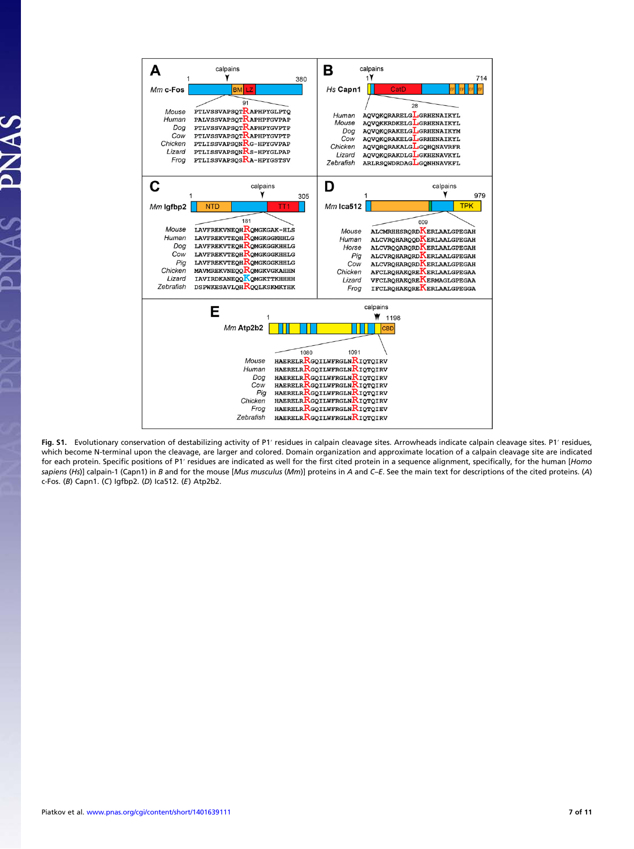

Fig. S1. Evolutionary conservation of destabilizing activity of P1′ residues in calpain cleavage sites. Arrowheads indicate calpain cleavage sites. P1′ residues, which become N-terminal upon the cleavage, are larger and colored. Domain organization and approximate location of a calpain cleavage site are indicated for each protein. Specific positions of P1' residues are indicated as well for the first cited protein in a sequence alignment, specifically, for the human [Homo sapiens (Hs)] calpain-1 (Capn1) in B and for the mouse [Mus musculus (Mm)] proteins in A and C-E. See the main text for descriptions of the cited proteins. (A) c-Fos. (B) Capn1. (C) Igfbp2. (D) Ica512. (E) Atp2b2.

PNAS

 $\tilde{\mathbf{X}}$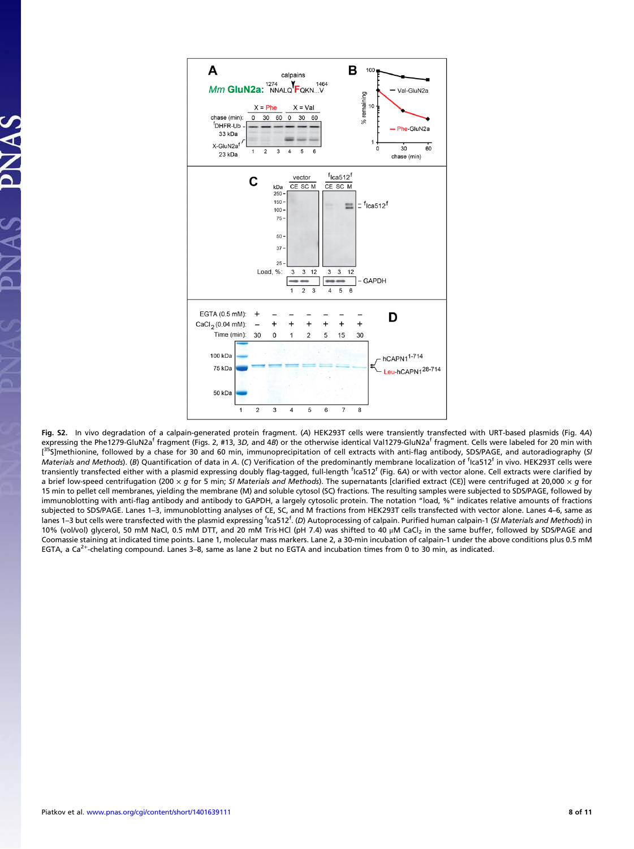

Fig. S2. In vivo degradation of a calpain-generated protein fragment. (A) HEK293T cells were transiently transfected with URT-based plasmids (Fig. 4A) expressing the Phe1279-GluN2a<sup>f</sup> fragment (Figs. 2, #13, 3D, and 4B) or the otherwise identical Val1279-GluN2a<sup>f</sup> fragment. Cells were labeled for 20 min with [<sup>35</sup>S]methionine, followed by a chase for 30 and 60 min, immunoprecipitation of cell extracts with anti-flag antibody, SDS/PAGE, and autoradiography (SI Materials and Methods). (B) Quantification of data in A. (C) Verification of the predominantly membrane localization of <sup>f</sup>ica512<sup>f</sup> in vivo. HEK293T cells were transiently transfected either with a plasmid expressing doubly flag-tagged, full-length <sup>f</sup>lca512<sup>f</sup> (Fig. 6A) or with vector alone. Cell extracts were clarified by a brief low-speed centrifugation (200 x q for 5 min; SI Materials and Methods). The supernatants [clarified extract (CE)] were centrifuged at 20,000 x q for 15 min to pellet cell membranes, yielding the membrane (M) and soluble cytosol (SC) fractions. The resulting samples were subjected to SDS/PAGE, followed by immunoblotting with anti-flag antibody and antibody to GAPDH, a largely cytosolic protein. The notation "load, %" indicates relative amounts of fractions subjected to SDS/PAGE. Lanes 1–3, immunoblotting analyses of CE, SC, and M fractions from HEK293T cells transfected with vector alone. Lanes 4–6, same as lanes 1–3 but cells were transfected with the plasmid expressing <sup>f</sup>ica512<sup>f</sup>. (D) Autoprocessing of calpain. Purified human calpain-1 (SI Mater*ials and Methods*) in 10% (vol/vol) glycerol, 50 mM NaCl, 0.5 mM DTT, and 20 mM Tris·HCl (pH 7.4) was shifted to 40 μM CaCl<sub>2</sub> in the same buffer, followed by SDS/PAGE and Coomassie staining at indicated time points. Lane 1, molecular mass markers. Lane 2, a 30-min incubation of calpain-1 under the above conditions plus 0.5 mM EGTA, a Ca<sup>2+</sup>-chelating compound. Lanes 3–8, same as lane 2 but no EGTA and incubation times from 0 to 30 min, as indicated.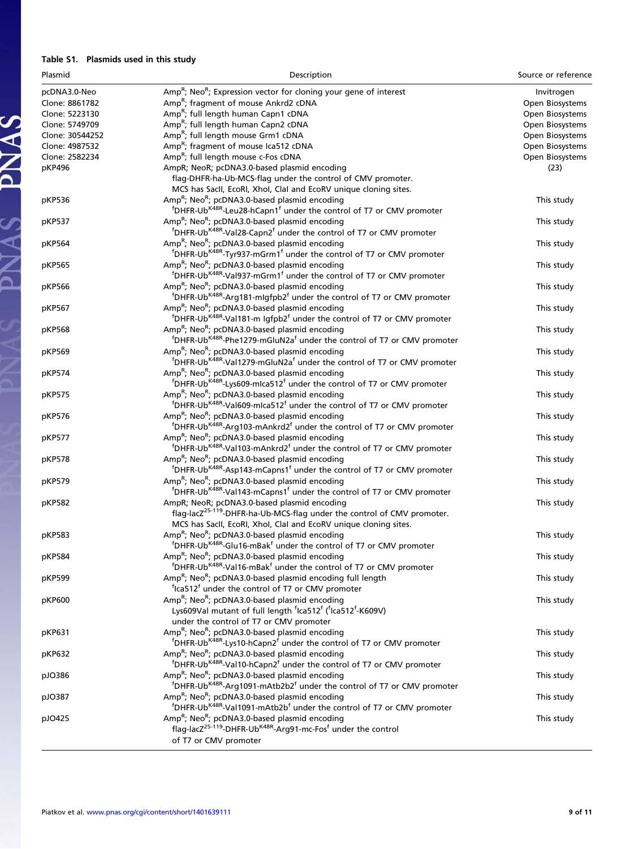### Table S1. Plasmids used in this study

PNAS PNAS

| Plasmid         | Description                                                                                                | Source or reference |
|-----------------|------------------------------------------------------------------------------------------------------------|---------------------|
| pcDNA3.0-Neo    | Amp <sup>R</sup> ; Neo <sup>R</sup> ; Expression vector for cloning your gene of interest                  | Invitrogen          |
| Clone: 8861782  | Amp <sup>R</sup> ; fragment of mouse Ankrd2 cDNA                                                           | Open Biosystems     |
| Clone: 5223130  | Amp <sup>R</sup> ; full length human Capn1 cDNA                                                            | Open Biosystems     |
| Clone: 5749709  | Amp <sup>R</sup> ; full length human Capn2 cDNA                                                            | Open Biosystems     |
| Clone: 30544252 | Amp <sup>R</sup> ; full length mouse Grm1 cDNA                                                             | Open Biosystems     |
| Clone: 4987532  | Amp <sup>R</sup> ; fragment of mouse Ica512 cDNA                                                           | Open Biosystems     |
| Clone: 2582234  | Amp <sup>R</sup> ; full length mouse c-Fos cDNA                                                            | Open Biosystems     |
| pKP496          | AmpR; NeoR; pcDNA3.0-based plasmid encoding                                                                | (23)                |
|                 | flag-DHFR-ha-Ub-MCS-flag under the control of CMV promoter.                                                |                     |
|                 | MCS has SacII, EcoRI, XhoI, ClaI and EcoRV unique cloning sites.                                           |                     |
| pKP536          | Amp <sup>R</sup> ; Neo <sup>R</sup> ; pcDNA3.0-based plasmid encoding                                      | This study          |
|                 | <sup>f</sup> DHFR-Ub <sup>K48R</sup> -Leu28-hCapn1 <sup>f</sup> under the control of T7 or CMV promoter    |                     |
| pKP537          | Amp <sup>R</sup> ; Neo <sup>R</sup> ; pcDNA3.0-based plasmid encoding                                      | This study          |
|                 | <sup>f</sup> DHFR-Ub <sup>K48R</sup> -Val28-Capn2 <sup>f</sup> under the control of T7 or CMV promoter     |                     |
| pKP564          | Amp <sup>R</sup> ; Neo <sup>R</sup> ; pcDNA3.0-based plasmid encoding                                      | This study          |
|                 | <sup>f</sup> DHFR-Ub <sup>K48R</sup> -Tyr937-mGrm1 <sup>f</sup> under the control of T7 or CMV promoter    |                     |
| pKP565          | Amp <sup>R</sup> ; Neo <sup>R</sup> ; pcDNA3.0-based plasmid encoding                                      | This study          |
|                 | <sup>f</sup> DHFR-Ub <sup>K48R</sup> -Val937-mGrm1 <sup>f</sup> under the control of T7 or CMV promoter    |                     |
| pKP566          | Amp <sup>R</sup> ; Neo <sup>R</sup> ; pcDNA3.0-based plasmid encoding                                      | This study          |
|                 | <sup>f</sup> DHFR-Ub <sup>K48R</sup> -Arg181-mlgfpb2 <sup>f</sup> under the control of T7 or CMV promoter  |                     |
| pKP567          | Amp <sup>R</sup> ; Neo <sup>R</sup> ; pcDNA3.0-based plasmid encoding                                      | This study          |
|                 | <sup>f</sup> DHFR-Ub <sup>K48R</sup> -Val181-m Igfpb2 <sup>f</sup> under the control of T7 or CMV promoter |                     |
| pKP568          | Amp <sup>R</sup> ; Neo <sup>R</sup> ; pcDNA3.0-based plasmid encoding                                      | This study          |
|                 | <sup>f</sup> DHFR-Ub <sup>K48R</sup> -Phe1279-mGluN2a <sup>f</sup> under the control of T7 or CMV promoter |                     |
|                 | Amp <sup>R</sup> ; Neo <sup>R</sup> ; pcDNA3.0-based plasmid encoding                                      | This study          |
| pKP569          | <sup>f</sup> DHFR-Ub <sup>K48R</sup> -Val1279-mGluN2a <sup>f</sup> under the control of T7 or CMV promoter |                     |
|                 | Amp <sup>R</sup> ; Neo <sup>R</sup> ; pcDNA3.0-based plasmid encoding                                      |                     |
| pKP574          | <sup>f</sup> DHFR-Ub <sup>K48R</sup> -Lys609-mlca512 <sup>f</sup> under the control of T7 or CMV promoter  | This study          |
|                 |                                                                                                            |                     |
| pKP575          | Amp <sup>R</sup> ; Neo <sup>R</sup> ; pcDNA3.0-based plasmid encoding                                      | This study          |
|                 | <sup>f</sup> DHFR-Ub <sup>K48R</sup> -Val609-mlca512 <sup>f</sup> under the control of T7 or CMV promoter  |                     |
| pKP576          | Amp <sup>R</sup> ; Neo <sup>R</sup> ; pcDNA3.0-based plasmid encoding                                      | This study          |
|                 | <sup>f</sup> DHFR-Ub <sup>K48R</sup> -Arg103-mAnkrd2 <sup>f</sup> under the control of T7 or CMV promoter  |                     |
| pKP577          | Amp <sup>R</sup> ; Neo <sup>R</sup> ; pcDNA3.0-based plasmid encoding                                      | This study          |
|                 | <sup>f</sup> DHFR-Ub <sup>K48R</sup> -Val103-mAnkrd2 <sup>f</sup> under the control of T7 or CMV promoter  |                     |
| pKP578          | Amp <sup>R</sup> ; Neo <sup>R</sup> ; pcDNA3.0-based plasmid encoding                                      | This study          |
|                 | <sup>f</sup> DHFR-Ub <sup>K48R</sup> -Asp143-mCapns1 <sup>f</sup> under the control of T7 or CMV promoter  |                     |
| pKP579          | Amp <sup>R</sup> ; Neo <sup>R</sup> ; pcDNA3.0-based plasmid encoding                                      | This study          |
|                 | <sup>f</sup> DHFR-Ub <sup>K48R</sup> -Val143-mCapns1 <sup>f</sup> under the control of T7 or CMV promoter  |                     |
| pKP582          | AmpR; NeoR; pcDNA3.0-based plasmid encoding                                                                | This study          |
|                 | flag-lacZ <sup>25-119</sup> -DHFR-ha-Ub-MCS-flag under the control of CMV promoter.                        |                     |
|                 | MCS has SacII, EcoRI, XhoI, ClaI and EcoRV unique cloning sites.                                           |                     |
| pKP583          | Amp <sup>R</sup> ; Neo <sup>R</sup> ; pcDNA3.0-based plasmid encoding                                      | This study          |
|                 | <sup>f</sup> DHFR-Ub <sup>K48R</sup> -Glu16-mBak <sup>f</sup> under the control of T7 or CMV promoter      |                     |
| pKP584          | Amp <sup>R</sup> ; Neo <sup>R</sup> ; pcDNA3.0-based plasmid encoding                                      | This study          |
|                 | <sup>f</sup> DHFR-Ub <sup>K48R</sup> -Val16-mBak <sup>f</sup> under the control of T7 or CMV promoter      |                     |
| pKP599          | Amp <sup>R</sup> ; Neo <sup>R</sup> ; pcDNA3.0-based plasmid encoding full length                          | This study          |
|                 | <sup>f</sup> Ica512 <sup>f</sup> under the control of T7 or CMV promoter                                   |                     |
| pKP600          | Amp <sup>R</sup> ; Neo <sup>R</sup> ; pcDNA3.0-based plasmid encoding                                      | This study          |
|                 | Lys609Val mutant of full length 'Ica512' ('Ica512'-K609V)                                                  |                     |
|                 | under the control of T7 or CMV promoter                                                                    |                     |
| pKP631          | Amp <sup>R</sup> ; Neo <sup>R</sup> ; pcDNA3.0-based plasmid encoding                                      | This study          |
|                 | <sup>f</sup> DHFR-Ub <sup>K48R</sup> -Lys10-hCapn2 <sup>f</sup> under the control of T7 or CMV promoter    |                     |
| pKP632          | Amp <sup>R</sup> ; Neo <sup>R</sup> ; pcDNA3.0-based plasmid encoding                                      | This study          |
|                 | <sup>f</sup> DHFR-Ub <sup>K48R</sup> -Val10-hCapn2 <sup>f</sup> under the control of T7 or CMV promoter    |                     |
| pJO386          | Amp <sup>R</sup> ; Neo <sup>R</sup> ; pcDNA3.0-based plasmid encoding                                      | This study          |
|                 | <sup>f</sup> DHFR-Ub <sup>K48R</sup> -Arg1091-mAtb2b2 <sup>f</sup> under the control of T7 or CMV promoter |                     |
| pJO387          | Amp <sup>R</sup> ; Neo <sup>R</sup> ; pcDNA3.0-based plasmid encoding                                      | This study          |
|                 | <sup>f</sup> DHFR-Ub <sup>K48R</sup> -Val1091-mAtb2b <sup>f</sup> under the control of T7 or CMV promoter  |                     |
| pJO425          | Amp <sup>R</sup> ; Neo <sup>R</sup> ; pcDNA3.0-based plasmid encoding                                      | This study          |
|                 | flag-lacZ <sup>25-119</sup> -DHFR-Ub <sup>K48R</sup> -Arg91-mc-Fos <sup>f</sup> under the control          |                     |
|                 | of T7 or CMV promoter                                                                                      |                     |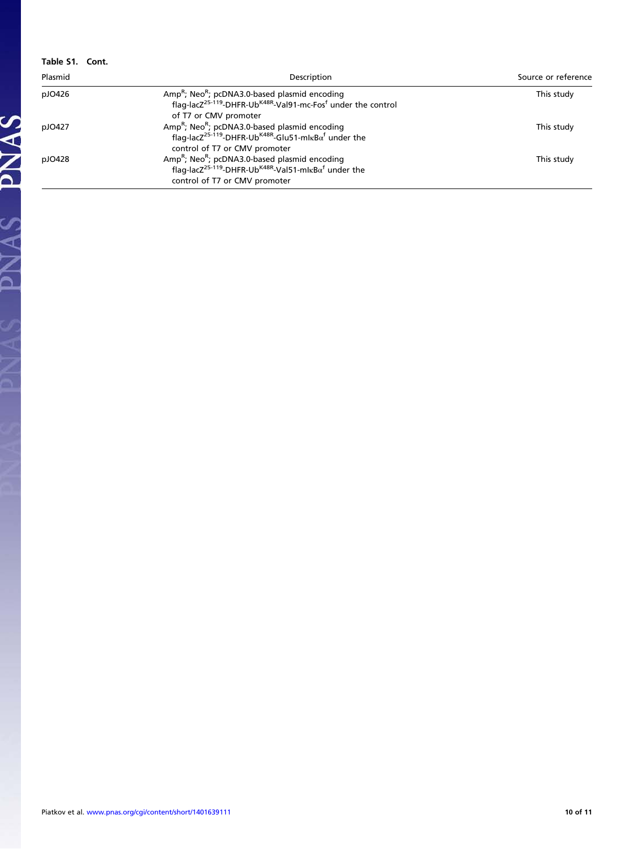| Table S1. Cont. |                                                                                                                                                                                                      |                     |  |
|-----------------|------------------------------------------------------------------------------------------------------------------------------------------------------------------------------------------------------|---------------------|--|
| Plasmid         | Description                                                                                                                                                                                          | Source or reference |  |
| pJO426          | Amp <sup>R</sup> ; Neo <sup>R</sup> ; pcDNA3.0-based plasmid encoding<br>flag-lacZ <sup>25-119</sup> -DHFR-Ub <sup>K48R</sup> -Val91-mc-Fos <sup>f</sup> under the control<br>of T7 or CMV promoter  | This study          |  |
| pJ0427          | Amp <sup>R</sup> ; Neo <sup>R</sup> ; pcDNA3.0-based plasmid encoding<br>flag-lac $Z^{25-119}$ -DHFR-Ub <sup>K48R</sup> -Glu51-ml $\kappa$ B $\alpha^f$ under the<br>control of T7 or CMV promoter   | This study          |  |
| pJO428          | Amp <sup>R</sup> ; Neo <sup>R</sup> ; pcDNA3.0-based plasmid encoding<br>flag-lac $Z^{25-119}$ -DHFR-Ub <sup>K48R</sup> -Val51-ml $\kappa$ B $\alpha^{f}$ under the<br>control of T7 or CMV promoter | This study          |  |

PNAS PNAS